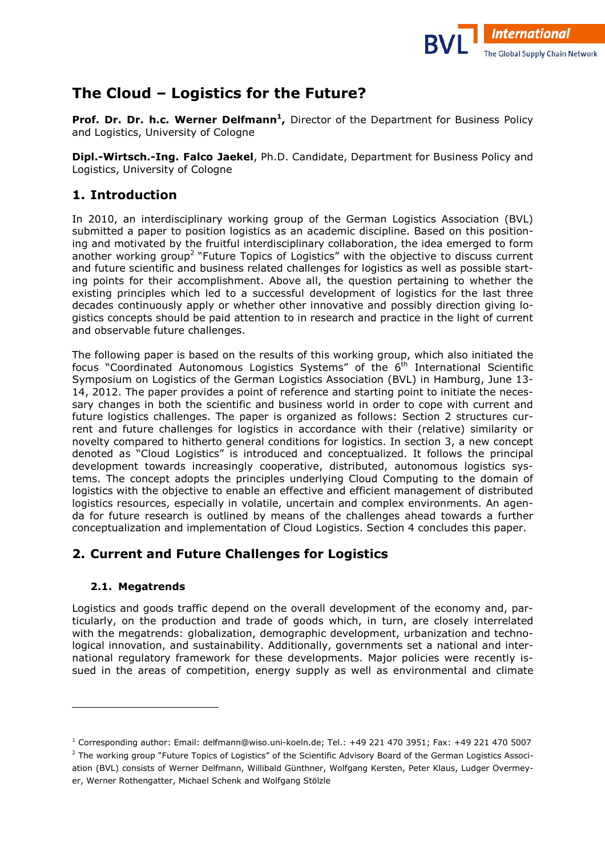

# **The Cloud – Logistics for the Future?**

**Prof. Dr. Dr. h.c. Werner Delfmann<sup>1</sup>,** Director of the Department for Business Policy and Logistics, University of Cologne

**Dipl.-Wirtsch.-Ing. Falco Jaekel**, Ph.D. Candidate, Department for Business Policy and Logistics, University of Cologne

## **1. Introduction**

In 2010, an interdisciplinary working group of the German Logistics Association (BVL) submitted a paper to position logistics as an academic discipline. Based on this positioning and motivated by the fruitful interdisciplinary collaboration, the idea emerged to form another working group<sup>2</sup> "Future Topics of Logistics" with the objective to discuss current and future scientific and business related challenges for logistics as well as possible starting points for their accomplishment. Above all, the question pertaining to whether the existing principles which led to a successful development of logistics for the last three decades continuously apply or whether other innovative and possibly direction giving logistics concepts should be paid attention to in research and practice in the light of current and observable future challenges.

The following paper is based on the results of this working group, which also initiated the focus "Coordinated Autonomous Logistics Systems" of the  $6<sup>th</sup>$  International Scientific Symposium on Logistics of the German Logistics Association (BVL) in Hamburg, June 13) 14, 2012. The paper provides a point of reference and starting point to initiate the necessary changes in both the scientific and business world in order to cope with current and future logistics challenges. The paper is organized as follows: Section 2 structures current and future challenges for logistics in accordance with their (relative) similarity or novelty compared to hitherto general conditions for logistics. In section 3, a new concept denoted as "Cloud Logistics" is introduced and conceptualized. It follows the principal development towards increasingly cooperative, distributed, autonomous logistics systems. The concept adopts the principles underlying Cloud Computing to the domain of logistics with the objective to enable an effective and efficient management of distributed logistics resources, especially in volatile, uncertain and complex environments. An agenda for future research is outlined by means of the challenges ahead towards a further conceptualization and implementation of Cloud Logistics. Section 4 concludes this paper.

## **2. Current and Future Challenges for Logistics**

### **2.1. Megatrends**

l

Logistics and goods traffic depend on the overall development of the economy and, particularly, on the production and trade of goods which, in turn, are closely interrelated with the megatrends: globalization, demographic development, urbanization and technological innovation, and sustainability. Additionally, governments set a national and international regulatory framework for these developments. Major policies were recently issued in the areas of competition, energy supply as well as environmental and climate

 $^1$  Corresponding author: Email: delfmann@wiso.uni-koeln.de; Tel.: +49 221 470 3951; Fax: +49 221 470 5007

 $^2$  The working group "Future Topics of Logistics" of the Scientific Advisory Board of the German Logistics Association (BVL) consists of Werner Delfmann, Willibald Günthner, Wolfgang Kersten, Peter Klaus, Ludger Overmeyer, Werner Rothengatter, Michael Schenk and Wolfgang Stölzle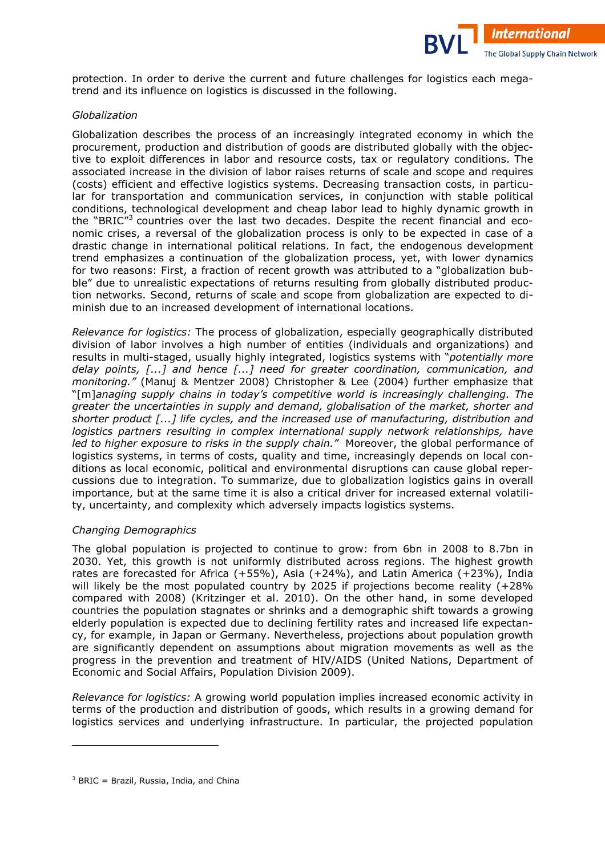protection. In order to derive the current and future challenges for logistics each megatrend and its influence on logistics is discussed in the following.

**International** 

The Global Supply Chain Network

#### *Globalization*

Globalization describes the process of an increasingly integrated economy in which the procurement, production and distribution of goods are distributed globally with the objec) tive to exploit differences in labor and resource costs, tax or regulatory conditions. The associated increase in the division of labor raises returns of scale and scope and requires (costs) efficient and effective logistics systems. Decreasing transaction costs, in particular for transportation and communication services, in conjunction with stable political conditions, technological development and cheap labor lead to highly dynamic growth in the "BRIC"<sup>3</sup> countries over the last two decades. Despite the recent financial and economic crises, a reversal of the globalization process is only to be expected in case of a drastic change in international political relations. In fact, the endogenous development trend emphasizes a continuation of the globalization process, yet, with lower dynamics for two reasons: First, a fraction of recent growth was attributed to a "globalization bubble" due to unrealistic expectations of returns resulting from globally distributed production networks. Second, returns of scale and scope from globalization are expected to diminish due to an increased development of international locations.

*Relevance for logistics:* The process of globalization, especially geographically distributed division of labor involves a high number of entities (individuals and organizations) and results in multi-staged, usually highly integrated, logistics systems with "*potentially more delay points, [...] and hence [...] need for greater coordination, communication, and monitoring."* (Manuj & Mentzer 2008) Christopher & Lee (2004) further emphasize that "[m]*anaging supply chains in today's competitive world is increasingly challenging. The greater the uncertainties in supply and demand, globalisation of the market, shorter and shorter product [...] life cycles, and the increased use of manufacturing, distribution and logistics partners resulting in complex international supply network relationships, have led to higher exposure to risks in the supply chain."* Moreover, the global performance of logistics systems, in terms of costs, quality and time, increasingly depends on local conditions as local economic, political and environmental disruptions can cause global reper) cussions due to integration. To summarize, due to globalization logistics gains in overall importance, but at the same time it is also a critical driver for increased external volatility, uncertainty, and complexity which adversely impacts logistics systems.

#### *Changing Demographics*

The global population is projected to continue to grow: from 6bn in 2008 to 8.7bn in 2030. Yet, this growth is not uniformly distributed across regions. The highest growth rates are forecasted for Africa (+55%), Asia (+24%), and Latin America (+23%), India will likely be the most populated country by 2025 if projections become reality (+28% compared with 2008) (Kritzinger et al. 2010). On the other hand, in some developed countries the population stagnates or shrinks and a demographic shift towards a growing elderly population is expected due to declining fertility rates and increased life expectancy, for example, in Japan or Germany. Nevertheless, projections about population growth are significantly dependent on assumptions about migration movements as well as the progress in the prevention and treatment of HIV/AIDS (United Nations, Department of Economic and Social Affairs, Population Division 2009).

*Relevance for logistics:* A growing world population implies increased economic activity in terms of the production and distribution of goods, which results in a growing demand for logistics services and underlying infrastructure. In particular, the projected population

l

<sup>&</sup>lt;sup>3</sup> BRIC = Brazil, Russia, India, and China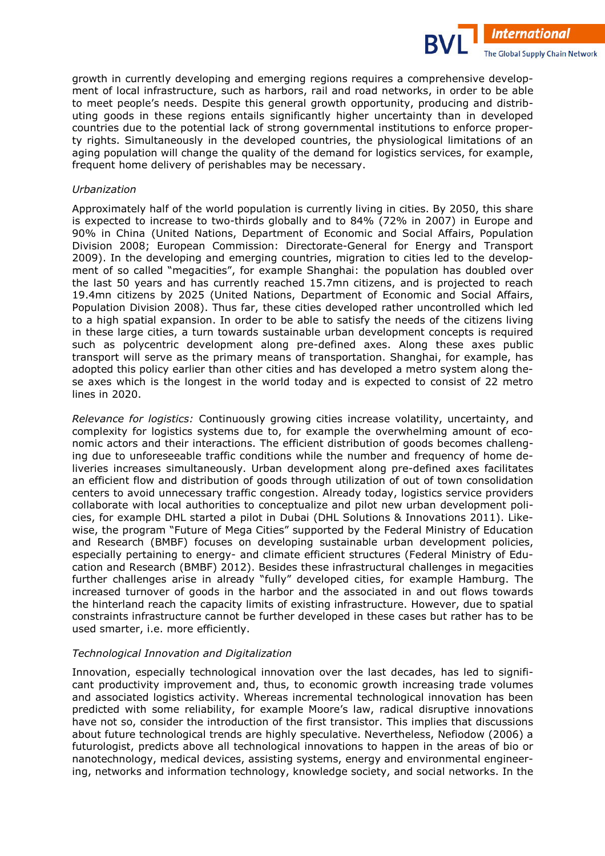growth in currently developing and emerging regions requires a comprehensive development of local infrastructure, such as harbors, rail and road networks, in order to be able to meet people's needs. Despite this general growth opportunity, producing and distributing goods in these regions entails significantly higher uncertainty than in developed countries due to the potential lack of strong governmental institutions to enforce property rights. Simultaneously in the developed countries, the physiological limitations of an aging population will change the quality of the demand for logistics services, for example, frequent home delivery of perishables may be necessary.

**International** 

The Global Supply Chain Network

#### *Urbanization*

Approximately half of the world population is currently living in cities. By 2050, this share is expected to increase to two-thirds globally and to  $84\%$  (72% in 2007) in Europe and 90% in China (United Nations, Department of Economic and Social Affairs, Population Division 2008; European Commission: Directorate-General for Energy and Transport 2009). In the developing and emerging countries, migration to cities led to the development of so called "megacities", for example Shanghai: the population has doubled over the last 50 years and has currently reached 15.7mn citizens, and is projected to reach 19.4mn citizens by 2025 (United Nations, Department of Economic and Social Affairs, Population Division 2008). Thus far, these cities developed rather uncontrolled which led to a high spatial expansion. In order to be able to satisfy the needs of the citizens living in these large cities, a turn towards sustainable urban development concepts is required such as polycentric development along pre-defined axes. Along these axes public transport will serve as the primary means of transportation. Shanghai, for example, has adopted this policy earlier than other cities and has developed a metro system along these axes which is the longest in the world today and is expected to consist of 22 metro lines in 2020.

*Relevance for logistics:* Continuously growing cities increase volatility, uncertainty, and complexity for logistics systems due to, for example the overwhelming amount of economic actors and their interactions. The efficient distribution of goods becomes challenging due to unforeseeable traffic conditions while the number and frequency of home deliveries increases simultaneously. Urban development along pre-defined axes facilitates an efficient flow and distribution of goods through utilization of out of town consolidation centers to avoid unnecessary traffic congestion. Already today, logistics service providers collaborate with local authorities to conceptualize and pilot new urban development policies, for example DHL started a pilot in Dubai (DHL Solutions & Innovations 2011). Like) wise, the program "Future of Mega Cities" supported by the Federal Ministry of Education and Research (BMBF) focuses on developing sustainable urban development policies, especially pertaining to energy- and climate efficient structures (Federal Ministry of Education and Research (BMBF) 2012). Besides these infrastructural challenges in megacities further challenges arise in already "fully" developed cities, for example Hamburg. The increased turnover of goods in the harbor and the associated in and out flows towards the hinterland reach the capacity limits of existing infrastructure. However, due to spatial constraints infrastructure cannot be further developed in these cases but rather has to be used smarter, i.e. more efficiently.

#### *Technological Innovation and Digitalization*

Innovation, especially technological innovation over the last decades, has led to significant productivity improvement and, thus, to economic growth increasing trade volumes and associated logistics activity. Whereas incremental technological innovation has been predicted with some reliability, for example Moore's law, radical disruptive innovations have not so, consider the introduction of the first transistor. This implies that discussions about future technological trends are highly speculative. Nevertheless, Nefiodow (2006) a futurologist, predicts above all technological innovations to happen in the areas of bio or nanotechnology, medical devices, assisting systems, energy and environmental engineering, networks and information technology, knowledge society, and social networks. In the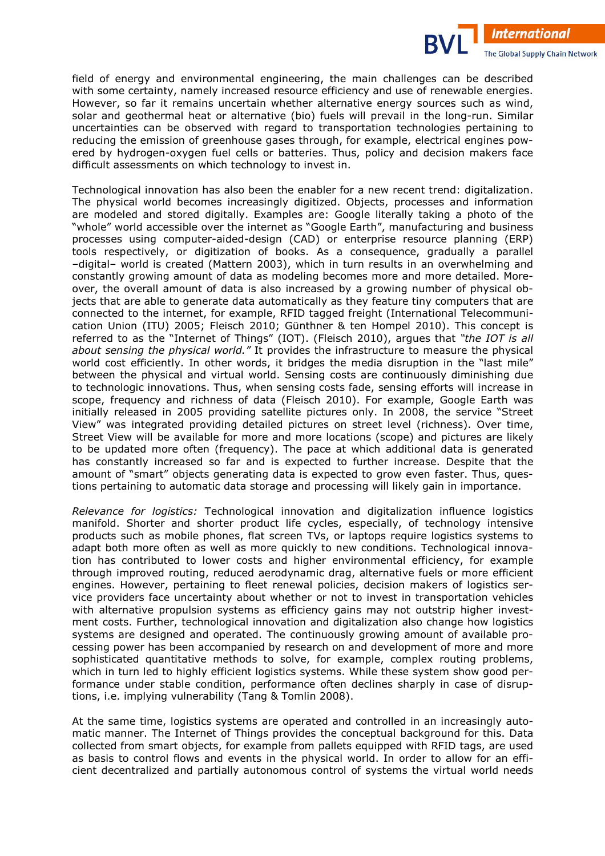field of energy and environmental engineering, the main challenges can be described with some certainty, namely increased resource efficiency and use of renewable energies. However, so far it remains uncertain whether alternative energy sources such as wind, solar and geothermal heat or alternative (bio) fuels will prevail in the long-run. Similar uncertainties can be observed with regard to transportation technologies pertaining to reducing the emission of greenhouse gases through, for example, electrical engines powered by hydrogen-oxygen fuel cells or batteries. Thus, policy and decision makers face difficult assessments on which technology to invest in.

**International** 

The Global Supply Chain Network

Technological innovation has also been the enabler for a new recent trend: digitalization. The physical world becomes increasingly digitized. Objects, processes and information are modeled and stored digitally. Examples are: Google literally taking a photo of the "whole" world accessible over the internet as "Google Earth", manufacturing and business processes using computer-aided-design (CAD) or enterprise resource planning (ERP) tools respectively, or digitization of books. As a consequence, gradually a parallel –digital– world is created (Mattern 2003), which in turn results in an overwhelming and constantly growing amount of data as modeling becomes more and more detailed. Moreover, the overall amount of data is also increased by a growing number of physical objects that are able to generate data automatically as they feature tiny computers that are connected to the internet, for example, RFID tagged freight (International Telecommuni) cation Union (ITU) 2005; Fleisch 2010; Günthner & ten Hompel 2010). This concept is referred to as the "Internet of Things" (IOT). (Fleisch 2010), argues that *"the IOT is all about sensing the physical world."* It provides the infrastructure to measure the physical world cost efficiently. In other words, it bridges the media disruption in the "last mile" between the physical and virtual world. Sensing costs are continuously diminishing due to technologic innovations. Thus, when sensing costs fade, sensing efforts will increase in scope, frequency and richness of data (Fleisch 2010). For example, Google Earth was initially released in 2005 providing satellite pictures only. In 2008, the service "Street View" was integrated providing detailed pictures on street level (richness). Over time, Street View will be available for more and more locations (scope) and pictures are likely to be updated more often (frequency). The pace at which additional data is generated has constantly increased so far and is expected to further increase. Despite that the amount of "smart" objects generating data is expected to grow even faster. Thus, questions pertaining to automatic data storage and processing will likely gain in importance.

*Relevance for logistics:* Technological innovation and digitalization influence logistics manifold. Shorter and shorter product life cycles, especially, of technology intensive products such as mobile phones, flat screen TVs, or laptops require logistics systems to adapt both more often as well as more quickly to new conditions. Technological innovation has contributed to lower costs and higher environmental efficiency, for example through improved routing, reduced aerodynamic drag, alternative fuels or more efficient engines. However, pertaining to fleet renewal policies, decision makers of logistics service providers face uncertainty about whether or not to invest in transportation vehicles with alternative propulsion systems as efficiency gains may not outstrip higher investment costs. Further, technological innovation and digitalization also change how logistics systems are designed and operated. The continuously growing amount of available processing power has been accompanied by research on and development of more and more sophisticated quantitative methods to solve, for example, complex routing problems, which in turn led to highly efficient logistics systems. While these system show good performance under stable condition, performance often declines sharply in case of disruptions, i.e. implying vulnerability (Tang & Tomlin 2008).

At the same time, logistics systems are operated and controlled in an increasingly automatic manner. The Internet of Things provides the conceptual background for this. Data collected from smart objects, for example from pallets equipped with RFID tags, are used as basis to control flows and events in the physical world. In order to allow for an efficient decentralized and partially autonomous control of systems the virtual world needs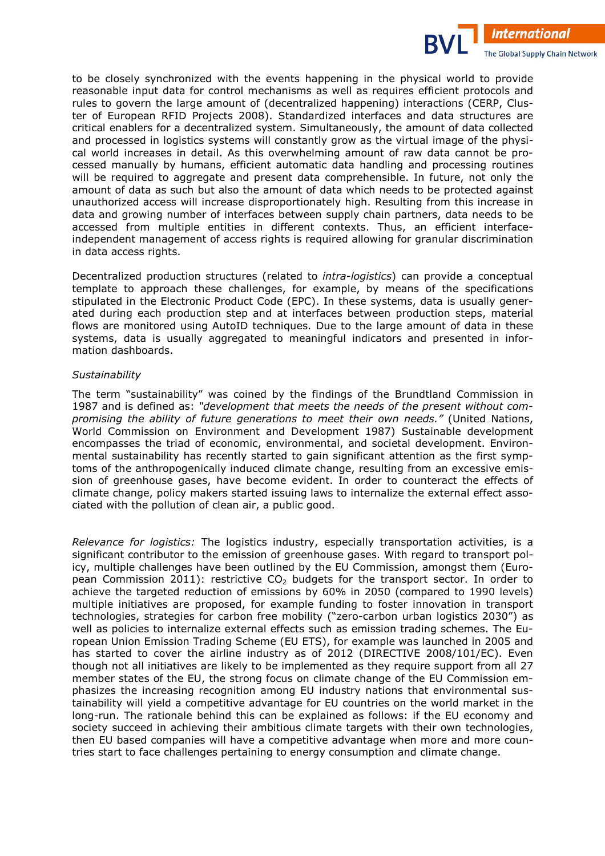to be closely synchronized with the events happening in the physical world to provide reasonable input data for control mechanisms as well as requires efficient protocols and rules to govern the large amount of (decentralized happening) interactions (CERP, Cluster of European RFID Projects 2008). Standardized interfaces and data structures are critical enablers for a decentralized system. Simultaneously, the amount of data collected and processed in logistics systems will constantly grow as the virtual image of the physical world increases in detail. As this overwhelming amount of raw data cannot be processed manually by humans, efficient automatic data handling and processing routines will be required to aggregate and present data comprehensible. In future, not only the amount of data as such but also the amount of data which needs to be protected against unauthorized access will increase disproportionately high. Resulting from this increase in data and growing number of interfaces between supply chain partners, data needs to be accessed from multiple entities in different contexts. Thus, an efficient interfaceindependent management of access rights is required allowing for granular discrimination in data access rights.

**International** 

The Global Supply Chain Network

Decentralized production structures (related to *intra-logistics*) can provide a conceptual template to approach these challenges, for example, by means of the specifications stipulated in the Electronic Product Code (EPC). In these systems, data is usually generated during each production step and at interfaces between production steps, material flows are monitored using AutoID techniques. Due to the large amount of data in these systems, data is usually aggregated to meaningful indicators and presented in information dashboards.

#### *Sustainability*

The term "sustainability" was coined by the findings of the Brundtland Commission in 1987 and is defined as: *"development that meets the needs of the present without com\* promising the ability of future generations to meet their own needs."* (United Nations, World Commission on Environment and Development 1987) Sustainable development encompasses the triad of economic, environmental, and societal development. Environmental sustainability has recently started to gain significant attention as the first symptoms of the anthropogenically induced climate change, resulting from an excessive emission of greenhouse gases, have become evident. In order to counteract the effects of climate change, policy makers started issuing laws to internalize the external effect associated with the pollution of clean air, a public good.

*Relevance for logistics:* The logistics industry, especially transportation activities, is a significant contributor to the emission of greenhouse gases. With regard to transport policy, multiple challenges have been outlined by the EU Commission, amongst them (European Commission 2011): restrictive  $CO<sub>2</sub>$  budgets for the transport sector. In order to achieve the targeted reduction of emissions by 60% in 2050 (compared to 1990 levels) multiple initiatives are proposed, for example funding to foster innovation in transport technologies, strategies for carbon free mobility ("zero-carbon urban logistics 2030") as well as policies to internalize external effects such as emission trading schemes. The European Union Emission Trading Scheme (EU ETS), for example was launched in 2005 and has started to cover the airline industry as of 2012 (DIRECTIVE 2008/101/EC). Even though not all initiatives are likely to be implemented as they require support from all 27 member states of the EU, the strong focus on climate change of the EU Commission emphasizes the increasing recognition among EU industry nations that environmental sustainability will yield a competitive advantage for EU countries on the world market in the long-run. The rationale behind this can be explained as follows: if the EU economy and society succeed in achieving their ambitious climate targets with their own technologies, then EU based companies will have a competitive advantage when more and more countries start to face challenges pertaining to energy consumption and climate change.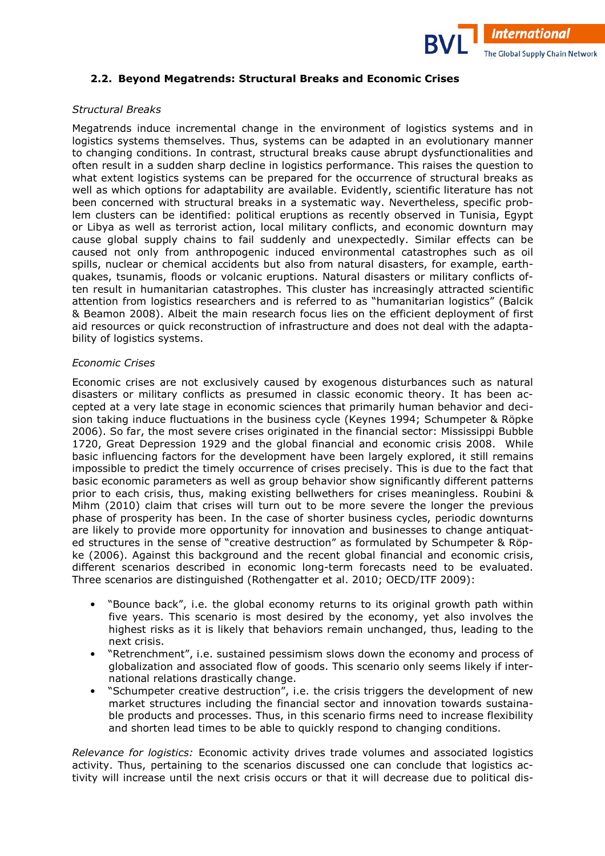

#### **2.2. Beyond Megatrends: Structural Breaks and Economic Crises**

#### *Structural Breaks*

Megatrends induce incremental change in the environment of logistics systems and in logistics systems themselves. Thus, systems can be adapted in an evolutionary manner to changing conditions. In contrast, structural breaks cause abrupt dysfunctionalities and often result in a sudden sharp decline in logistics performance. This raises the question to what extent logistics systems can be prepared for the occurrence of structural breaks as well as which options for adaptability are available. Evidently, scientific literature has not been concerned with structural breaks in a systematic way. Nevertheless, specific problem clusters can be identified: political eruptions as recently observed in Tunisia, Egypt or Libya as well as terrorist action, local military conflicts, and economic downturn may cause global supply chains to fail suddenly and unexpectedly. Similar effects can be caused not only from anthropogenic induced environmental catastrophes such as oil spills, nuclear or chemical accidents but also from natural disasters, for example, earthquakes, tsunamis, floods or volcanic eruptions. Natural disasters or military conflicts of) ten result in humanitarian catastrophes. This cluster has increasingly attracted scientific attention from logistics researchers and is referred to as "humanitarian logistics" (Balcik & Beamon 2008). Albeit the main research focus lies on the efficient deployment of first aid resources or quick reconstruction of infrastructure and does not deal with the adaptability of logistics systems.

#### *Economic Crises*

Economic crises are not exclusively caused by exogenous disturbances such as natural disasters or military conflicts as presumed in classic economic theory. It has been accepted at a very late stage in economic sciences that primarily human behavior and decision taking induce fluctuations in the business cycle (Keynes 1994; Schumpeter & Röpke 2006). So far, the most severe crises originated in the financial sector: Mississippi Bubble 1720, Great Depression 1929 and the global financial and economic crisis 2008. While basic influencing factors for the development have been largely explored, it still remains impossible to predict the timely occurrence of crises precisely. This is due to the fact that basic economic parameters as well as group behavior show significantly different patterns prior to each crisis, thus, making existing bellwethers for crises meaningless. Roubini & Mihm (2010) claim that crises will turn out to be more severe the longer the previous phase of prosperity has been. In the case of shorter business cycles, periodic downturns are likely to provide more opportunity for innovation and businesses to change antiquated structures in the sense of "creative destruction" as formulated by Schumpeter & Röpke (2006). Against this background and the recent global financial and economic crisis, different scenarios described in economic long-term forecasts need to be evaluated. Three scenarios are distinguished (Rothengatter et al. 2010; OECD/ITF 2009):

- "Bounce back", i.e. the global economy returns to its original growth path within five years. This scenario is most desired by the economy, yet also involves the highest risks as it is likely that behaviors remain unchanged, thus, leading to the next crisis.
- "Retrenchment", i.e. sustained pessimism slows down the economy and process of globalization and associated flow of goods. This scenario only seems likely if international relations drastically change.
- "Schumpeter creative destruction", i.e. the crisis triggers the development of new market structures including the financial sector and innovation towards sustainable products and processes. Thus, in this scenario firms need to increase flexibility and shorten lead times to be able to quickly respond to changing conditions.

*Relevance for logistics:* Economic activity drives trade volumes and associated logistics activity. Thus, pertaining to the scenarios discussed one can conclude that logistics activity will increase until the next crisis occurs or that it will decrease due to political dis-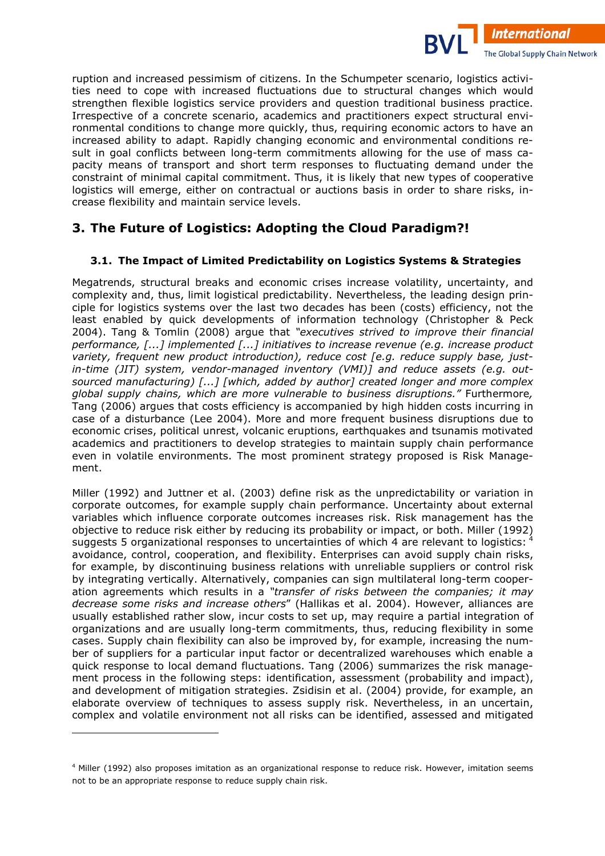ruption and increased pessimism of citizens. In the Schumpeter scenario, logistics activities need to cope with increased fluctuations due to structural changes which would strengthen flexible logistics service providers and question traditional business practice. Irrespective of a concrete scenario, academics and practitioners expect structural environmental conditions to change more quickly, thus, requiring economic actors to have an increased ability to adapt. Rapidly changing economic and environmental conditions result in goal conflicts between long-term commitments allowing for the use of mass capacity means of transport and short term responses to fluctuating demand under the constraint of minimal capital commitment. Thus, it is likely that new types of cooperative logistics will emerge, either on contractual or auctions basis in order to share risks, increase flexibility and maintain service levels.

**International** 

The Global Supply Chain Network

## **3. The Future of Logistics: Adopting the Cloud Paradigm?!**

## **3.1. The Impact of Limited Predictability on Logistics Systems & Strategies**

Megatrends, structural breaks and economic crises increase volatility, uncertainty, and complexity and, thus, limit logistical predictability. Nevertheless, the leading design principle for logistics systems over the last two decades has been (costs) efficiency, not the least enabled by quick developments of information technology (Christopher & Peck 2004). Tang & Tomlin (2008) argue that *"executives strived to improve their financial performance, [...] implemented [...] initiatives to increase revenue (e.g. increase product variety, frequent new product introduction), reduce cost [e.g. reduce supply base, just\* in-time (JIT) system, vendor-managed inventory (VMI)] and reduce assets (e.g. outsourced manufacturing) [...] [which, added by author] created longer and more complex global supply chains, which are more vulnerable to business disruptions."* Furthermore*,*  Tang (2006) argues that costs efficiency is accompanied by high hidden costs incurring in case of a disturbance (Lee 2004). More and more frequent business disruptions due to economic crises, political unrest, volcanic eruptions, earthquakes and tsunamis motivated academics and practitioners to develop strategies to maintain supply chain performance even in volatile environments. The most prominent strategy proposed is Risk Management.

Miller (1992) and Juttner et al. (2003) define risk as the unpredictability or variation in corporate outcomes, for example supply chain performance. Uncertainty about external variables which influence corporate outcomes increases risk. Risk management has the objective to reduce risk either by reducing its probability or impact, or both. Miller (1992) suggests 5 organizational responses to uncertainties of which 4 are relevant to logistics: avoidance, control, cooperation, and flexibility. Enterprises can avoid supply chain risks, for example, by discontinuing business relations with unreliable suppliers or control risk by integrating vertically. Alternatively, companies can sign multilateral long-term cooperation agreements which results in a *"transfer of risks between the companies; it may decrease some risks and increase others*" (Hallikas et al. 2004). However, alliances are usually established rather slow, incur costs to set up, may require a partial integration of organizations and are usually long-term commitments, thus, reducing flexibility in some cases. Supply chain flexibility can also be improved by, for example, increasing the number of suppliers for a particular input factor or decentralized warehouses which enable a quick response to local demand fluctuations. Tang (2006) summarizes the risk management process in the following steps: identification, assessment (probability and impact), and development of mitigation strategies. Zsidisin et al. (2004) provide, for example, an elaborate overview of techniques to assess supply risk. Nevertheless, in an uncertain, complex and volatile environment not all risks can be identified, assessed and mitigated

i,

<sup>4</sup> Miller (1992) also proposes imitation as an organizational response to reduce risk. However, imitation seems not to be an appropriate response to reduce supply chain risk.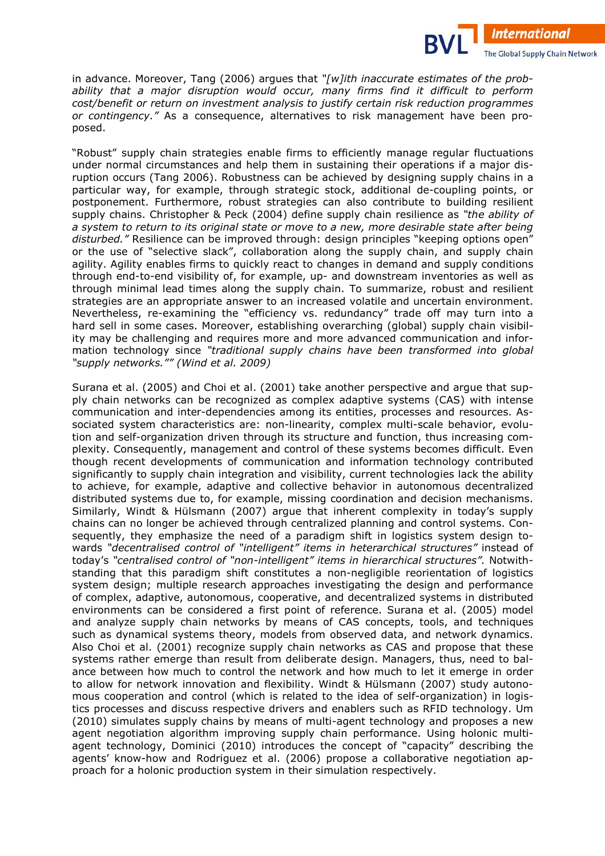in advance. Moreover, Tang (2006) argues that "[w]ith inaccurate estimates of the prob*ability that a major disruption would occur, many firms find it difficult to perform cost/benefit or return on investment analysis to justify certain risk reduction programmes or contingency."* As a consequence, alternatives to risk management have been proposed.

**International** 

The Global Supply Chain Network

"Robust" supply chain strategies enable firms to efficiently manage regular fluctuations under normal circumstances and help them in sustaining their operations if a major disruption occurs (Tang 2006). Robustness can be achieved by designing supply chains in a particular way, for example, through strategic stock, additional de-coupling points, or postponement. Furthermore, robust strategies can also contribute to building resilient supply chains. Christopher & Peck (2004) define supply chain resilience as *"the ability of a system to return to its original state or move to a new, more desirable state after being disturbed."* Resilience can be improved through: design principles "keeping options open" or the use of "selective slack", collaboration along the supply chain, and supply chain agility. Agility enables firms to quickly react to changes in demand and supply conditions through end-to-end visibility of, for example, up- and downstream inventories as well as through minimal lead times along the supply chain. To summarize, robust and resilient strategies are an appropriate answer to an increased volatile and uncertain environment. Nevertheless, re-examining the "efficiency vs. redundancy" trade off may turn into a hard sell in some cases. Moreover, establishing overarching (global) supply chain visibility may be challenging and requires more and more advanced communication and infor) mation technology since *"traditional supply chains have been transformed into global "supply networks."" (Wind et al. 2009)* 

Surana et al. (2005) and Choi et al. (2001) take another perspective and argue that supply chain networks can be recognized as complex adaptive systems (CAS) with intense communication and inter-dependencies among its entities, processes and resources. Associated system characteristics are: non-linearity, complex multi-scale behavior, evolution and self-organization driven through its structure and function, thus increasing complexity. Consequently, management and control of these systems becomes difficult. Even though recent developments of communication and information technology contributed significantly to supply chain integration and visibility, current technologies lack the ability to achieve, for example, adaptive and collective behavior in autonomous decentralized distributed systems due to, for example, missing coordination and decision mechanisms. Similarly, Windt & Hülsmann (2007) argue that inherent complexity in today's supply chains can no longer be achieved through centralized planning and control systems. Con) sequently, they emphasize the need of a paradigm shift in logistics system design towards *"decentralised control of "intelligent" items in heterarchical structures"* instead of today's "centralised control of "non-intelligent" items in hierarchical structures". Notwithstanding that this paradigm shift constitutes a non-negligible reorientation of logistics system design; multiple research approaches investigating the design and performance of complex, adaptive, autonomous, cooperative, and decentralized systems in distributed environments can be considered a first point of reference. Surana et al. (2005) model and analyze supply chain networks by means of CAS concepts, tools, and techniques such as dynamical systems theory, models from observed data, and network dynamics. Also Choi et al. (2001) recognize supply chain networks as CAS and propose that these systems rather emerge than result from deliberate design. Managers, thus, need to bal) ance between how much to control the network and how much to let it emerge in order to allow for network innovation and flexibility. Windt & Hülsmann (2007) study autonomous cooperation and control (which is related to the idea of self-organization) in logistics processes and discuss respective drivers and enablers such as RFID technology. Um  $(2010)$  simulates supply chains by means of multi-agent technology and proposes a new agent negotiation algorithm improving supply chain performance. Using holonic multiagent technology, Dominici (2010) introduces the concept of "capacity" describing the agents' know-how and Rodriguez et al. (2006) propose a collaborative negotiation approach for a holonic production system in their simulation respectively.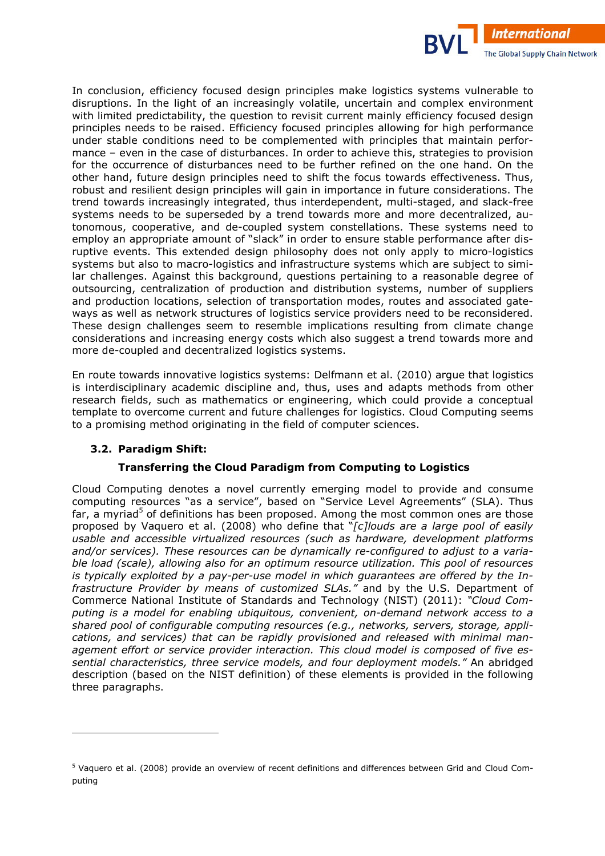

In conclusion, efficiency focused design principles make logistics systems vulnerable to disruptions. In the light of an increasingly volatile, uncertain and complex environment with limited predictability, the question to revisit current mainly efficiency focused design principles needs to be raised. Efficiency focused principles allowing for high performance under stable conditions need to be complemented with principles that maintain performance – even in the case of disturbances. In order to achieve this, strategies to provision for the occurrence of disturbances need to be further refined on the one hand. On the other hand, future design principles need to shift the focus towards effectiveness. Thus, robust and resilient design principles will gain in importance in future considerations. The trend towards increasingly integrated, thus interdependent, multi-staged, and slack-free systems needs to be superseded by a trend towards more and more decentralized, autonomous, cooperative, and de-coupled system constellations. These systems need to employ an appropriate amount of "slack" in order to ensure stable performance after disruptive events. This extended design philosophy does not only apply to micro-logistics systems but also to macro-logistics and infrastructure systems which are subject to similar challenges. Against this background, questions pertaining to a reasonable degree of outsourcing, centralization of production and distribution systems, number of suppliers and production locations, selection of transportation modes, routes and associated gateways as well as network structures of logistics service providers need to be reconsidered. These design challenges seem to resemble implications resulting from climate change considerations and increasing energy costs which also suggest a trend towards more and more de-coupled and decentralized logistics systems.

En route towards innovative logistics systems: Delfmann et al. (2010) argue that logistics is interdisciplinary academic discipline and, thus, uses and adapts methods from other research fields, such as mathematics or engineering, which could provide a conceptual template to overcome current and future challenges for logistics. Cloud Computing seems to a promising method originating in the field of computer sciences.

### **3.2. Paradigm Shift:**

i,

## **Transferring the Cloud Paradigm from Computing to Logistics**

Cloud Computing denotes a novel currently emerging model to provide and consume computing resources "as a service", based on "Service Level Agreements" (SLA). Thus far, a myriad<sup>5</sup> of definitions has been proposed. Among the most common ones are those proposed by Vaquero et al. (2008) who define that "*[c]louds are a large pool of easily usable and accessible virtualized resources (such as hardware, development platforms*  and/or services). These resources can be dynamically re-configured to adjust to a varia*ble load (scale), allowing also for an optimum resource utilization. This pool of resources is typically exploited by a pay-per-use model in which guarantees are offered by the Infrastructure Provider by means of customized SLAs."* and by the U.S. Department of Commerce National Institute of Standards and Technology (NIST) (2011): *"Cloud Com\* puting is a model for enabling ubiquitous, convenient, on\*demand network access to a shared pool of configurable computing resources (e.g., networks, servers, storage, appli\* cations, and services) that can be rapidly provisioned and released with minimal man\* agement effort or service provider interaction. This cloud model is composed of five es\* sential characteristics, three service models, and four deployment models."* An abridged description (based on the NIST definition) of these elements is provided in the following three paragraphs.

 $^5$  Vaquero et al. (2008) provide an overview of recent definitions and differences between Grid and Cloud Computing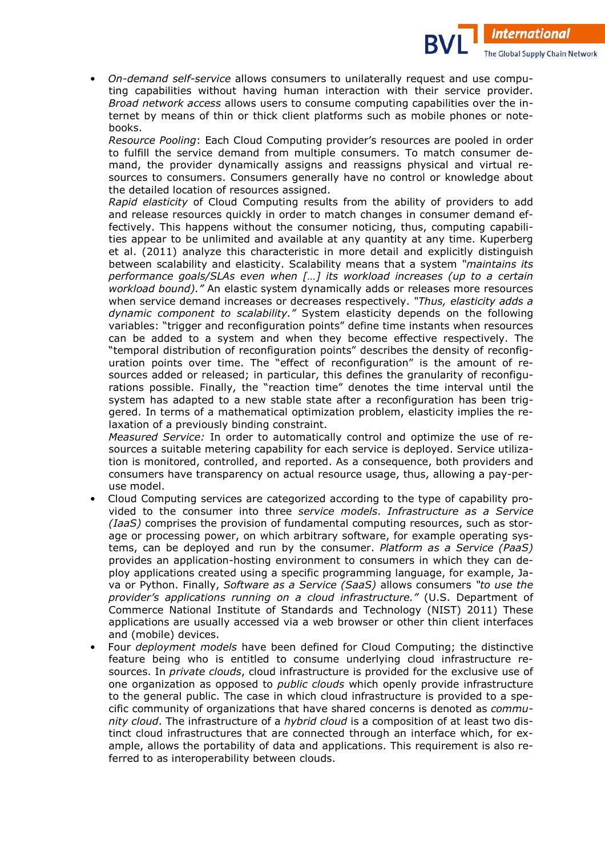*On-demand self-service allows consumers to unilaterally request and use compu*ting capabilities without having human interaction with their service provider. *Broad network access* allows users to consume computing capabilities over the internet by means of thin or thick client platforms such as mobile phones or notebooks.

**International** 

The Global Supply Chain Network

*Resource Pooling*: Each Cloud Computing provider's resources are pooled in order to fulfill the service demand from multiple consumers. To match consumer demand, the provider dynamically assigns and reassigns physical and virtual resources to consumers. Consumers generally have no control or knowledge about the detailed location of resources assigned.

*Rapid elasticity* of Cloud Computing results from the ability of providers to add and release resources quickly in order to match changes in consumer demand effectively. This happens without the consumer noticing, thus, computing capabilities appear to be unlimited and available at any quantity at any time. Kuperberg et al. (2011) analyze this characteristic in more detail and explicitly distinguish between scalability and elasticity. Scalability means that a system *"maintains its performance goals/SLAs even when […] its workload increases (up to a certain workload bound)."* An elastic system dynamically adds or releases more resources when service demand increases or decreases respectively. *"Thus, elasticity adds a dynamic component to scalability."* System elasticity depends on the following variables: "trigger and reconfiguration points" define time instants when resources can be added to a system and when they become effective respectively. The "temporal distribution of reconfiguration points" describes the density of reconfig) uration points over time. The "effect of reconfiguration" is the amount of resources added or released; in particular, this defines the granularity of reconfigurations possible. Finally, the "reaction time" denotes the time interval until the system has adapted to a new stable state after a reconfiguration has been triggered. In terms of a mathematical optimization problem, elasticity implies the relaxation of a previously binding constraint.

*Measured Service:* In order to automatically control and optimize the use of resources a suitable metering capability for each service is deployed. Service utilization is monitored, controlled, and reported. As a consequence, both providers and consumers have transparency on actual resource usage, thus, allowing a pay-peruse model.

- Cloud Computing services are categorized according to the type of capability pro) vided to the consumer into three *service models*. *Infrastructure as a Service (IaaS)* comprises the provision of fundamental computing resources, such as stor) age or processing power, on which arbitrary software, for example operating systems, can be deployed and run by the consumer. *Platform as a Service (PaaS)* provides an application-hosting environment to consumers in which they can deploy applications created using a specific programming language, for example, Ja) va or Python. Finally, *Software as a Service (SaaS)* allows consumers *"to use the provider's applications running on a cloud infrastructure."* (U.S. Department of Commerce National Institute of Standards and Technology (NIST) 2011) These applications are usually accessed via a web browser or other thin client interfaces and (mobile) devices.
- Four *deployment models* have been defined for Cloud Computing; the distinctive feature being who is entitled to consume underlying cloud infrastructure resources. In *private clouds*, cloud infrastructure is provided for the exclusive use of one organization as opposed to *public clouds* which openly provide infrastructure to the general public. The case in which cloud infrastructure is provided to a specific community of organizations that have shared concerns is denoted as *commu\* nity cloud*. The infrastructure of a *hybrid cloud* is a composition of at least two dis) tinct cloud infrastructures that are connected through an interface which, for example, allows the portability of data and applications. This requirement is also referred to as interoperability between clouds.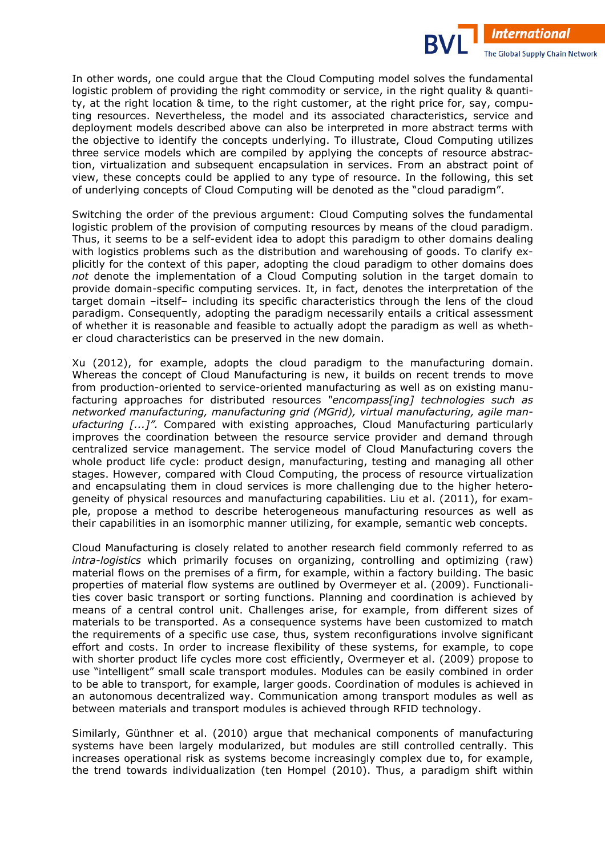In other words, one could argue that the Cloud Computing model solves the fundamental logistic problem of providing the right commodity or service, in the right quality & quantity, at the right location & time, to the right customer, at the right price for, say, computing resources. Nevertheless, the model and its associated characteristics, service and deployment models described above can also be interpreted in more abstract terms with the objective to identify the concepts underlying. To illustrate, Cloud Computing utilizes three service models which are compiled by applying the concepts of resource abstrac) tion, virtualization and subsequent encapsulation in services. From an abstract point of view, these concepts could be applied to any type of resource. In the following, this set of underlying concepts of Cloud Computing will be denoted as the "cloud paradigm".

**International** 

The Global Supply Chain Network

Switching the order of the previous argument: Cloud Computing solves the fundamental logistic problem of the provision of computing resources by means of the cloud paradigm. Thus, it seems to be a self-evident idea to adopt this paradigm to other domains dealing with logistics problems such as the distribution and warehousing of goods. To clarify explicitly for the context of this paper, adopting the cloud paradigm to other domains does *not* denote the implementation of a Cloud Computing solution in the target domain to provide domain-specific computing services. It, in fact, denotes the interpretation of the target domain –itself– including its specific characteristics through the lens of the cloud paradigm. Consequently, adopting the paradigm necessarily entails a critical assessment of whether it is reasonable and feasible to actually adopt the paradigm as well as whether cloud characteristics can be preserved in the new domain.

Xu (2012), for example, adopts the cloud paradigm to the manufacturing domain. Whereas the concept of Cloud Manufacturing is new, it builds on recent trends to move from production-oriented to service-oriented manufacturing as well as on existing manufacturing approaches for distributed resources *"encompass[ing] technologies such as networked manufacturing, manufacturing grid (MGrid), virtual manufacturing, agile man\* ufacturing [...]".* Compared with existing approaches, Cloud Manufacturing particularly improves the coordination between the resource service provider and demand through centralized service management. The service model of Cloud Manufacturing covers the whole product life cycle: product design, manufacturing, testing and managing all other stages. However, compared with Cloud Computing, the process of resource virtualization and encapsulating them in cloud services is more challenging due to the higher heterogeneity of physical resources and manufacturing capabilities. Liu et al. (2011), for exam) ple, propose a method to describe heterogeneous manufacturing resources as well as their capabilities in an isomorphic manner utilizing, for example, semantic web concepts.

Cloud Manufacturing is closely related to another research field commonly referred to as intra-logistics which primarily focuses on organizing, controlling and optimizing (raw) material flows on the premises of a firm, for example, within a factory building. The basic properties of material flow systems are outlined by Overmeyer et al. (2009). Functionalities cover basic transport or sorting functions. Planning and coordination is achieved by means of a central control unit. Challenges arise, for example, from different sizes of materials to be transported. As a consequence systems have been customized to match the requirements of a specific use case, thus, system reconfigurations involve significant effort and costs. In order to increase flexibility of these systems, for example, to cope with shorter product life cycles more cost efficiently, Overmeyer et al. (2009) propose to use "intelligent" small scale transport modules. Modules can be easily combined in order to be able to transport, for example, larger goods. Coordination of modules is achieved in an autonomous decentralized way. Communication among transport modules as well as between materials and transport modules is achieved through RFID technology.

Similarly, Günthner et al. (2010) argue that mechanical components of manufacturing systems have been largely modularized, but modules are still controlled centrally. This increases operational risk as systems become increasingly complex due to, for example, the trend towards individualization (ten Hompel (2010). Thus, a paradigm shift within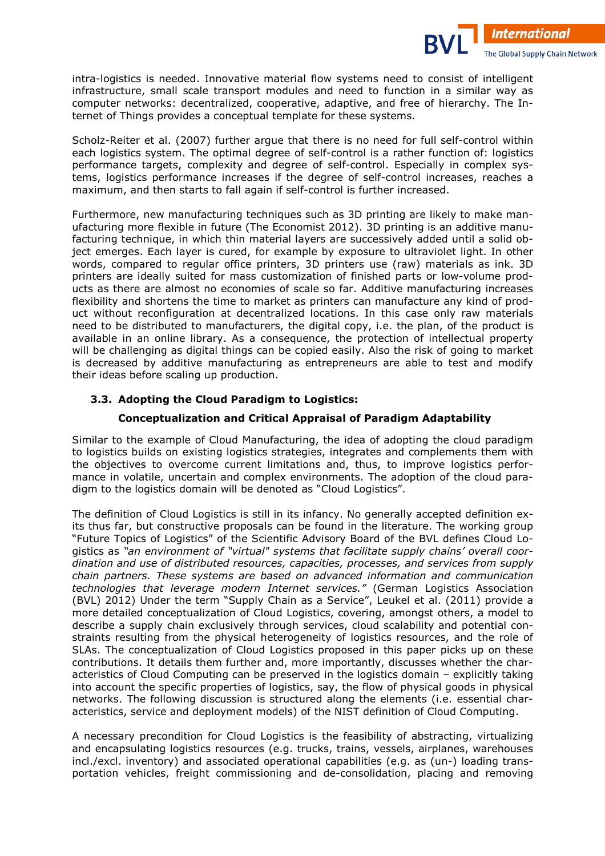intra-logistics is needed. Innovative material flow systems need to consist of intelligent infrastructure, small scale transport modules and need to function in a similar way as computer networks: decentralized, cooperative, adaptive, and free of hierarchy. The Internet of Things provides a conceptual template for these systems.

**International** 

The Global Supply Chain Network

Scholz-Reiter et al. (2007) further argue that there is no need for full self-control within each logistics system. The optimal degree of self-control is a rather function of: logistics performance targets, complexity and degree of self-control. Especially in complex systems, logistics performance increases if the degree of self-control increases, reaches a maximum, and then starts to fall again if self-control is further increased.

Furthermore, new manufacturing techniques such as 3D printing are likely to make manufacturing more flexible in future (The Economist 2012). 3D printing is an additive manufacturing technique, in which thin material layers are successively added until a solid object emerges. Each layer is cured, for example by exposure to ultraviolet light. In other words, compared to regular office printers, 3D printers use (raw) materials as ink. 3D printers are ideally suited for mass customization of finished parts or low-yolume products as there are almost no economies of scale so far. Additive manufacturing increases flexibility and shortens the time to market as printers can manufacture any kind of product without reconfiguration at decentralized locations. In this case only raw materials need to be distributed to manufacturers, the digital copy, i.e. the plan, of the product is available in an online library. As a consequence, the protection of intellectual property will be challenging as digital things can be copied easily. Also the risk of going to market is decreased by additive manufacturing as entrepreneurs are able to test and modify their ideas before scaling up production.

## **3.3. Adopting the Cloud Paradigm to Logistics:**

### **Conceptualization and Critical Appraisal of Paradigm Adaptability**

Similar to the example of Cloud Manufacturing, the idea of adopting the cloud paradigm to logistics builds on existing logistics strategies, integrates and complements them with the objectives to overcome current limitations and, thus, to improve logistics performance in volatile, uncertain and complex environments. The adoption of the cloud paradigm to the logistics domain will be denoted as "Cloud Logistics".

The definition of Cloud Logistics is still in its infancy. No generally accepted definition exits thus far, but constructive proposals can be found in the literature. The working group "Future Topics of Logistics" of the Scientific Advisory Board of the BVL defines Cloud Lo) gistics as *"an environment of "virtual" systems that facilitate supply chains' overall coor\* dination and use of distributed resources, capacities, processes, and services from supply chain partners. These systems are based on advanced information and communication technologies that leverage modern Internet services."* (German Logistics Association (BVL) 2012) Under the term "Supply Chain as a Service", Leukel et al. (2011) provide a more detailed conceptualization of Cloud Logistics, covering, amongst others, a model to describe a supply chain exclusively through services, cloud scalability and potential con) straints resulting from the physical heterogeneity of logistics resources, and the role of SLAs. The conceptualization of Cloud Logistics proposed in this paper picks up on these contributions. It details them further and, more importantly, discusses whether the characteristics of Cloud Computing can be preserved in the logistics domain – explicitly taking into account the specific properties of logistics, say, the flow of physical goods in physical networks. The following discussion is structured along the elements (i.e. essential characteristics, service and deployment models) of the NIST definition of Cloud Computing.

A necessary precondition for Cloud Logistics is the feasibility of abstracting, virtualizing and encapsulating logistics resources (e.g. trucks, trains, vessels, airplanes, warehouses incl./excl. inventory) and associated operational capabilities (e.g. as (un-) loading transportation vehicles, freight commissioning and de-consolidation, placing and removing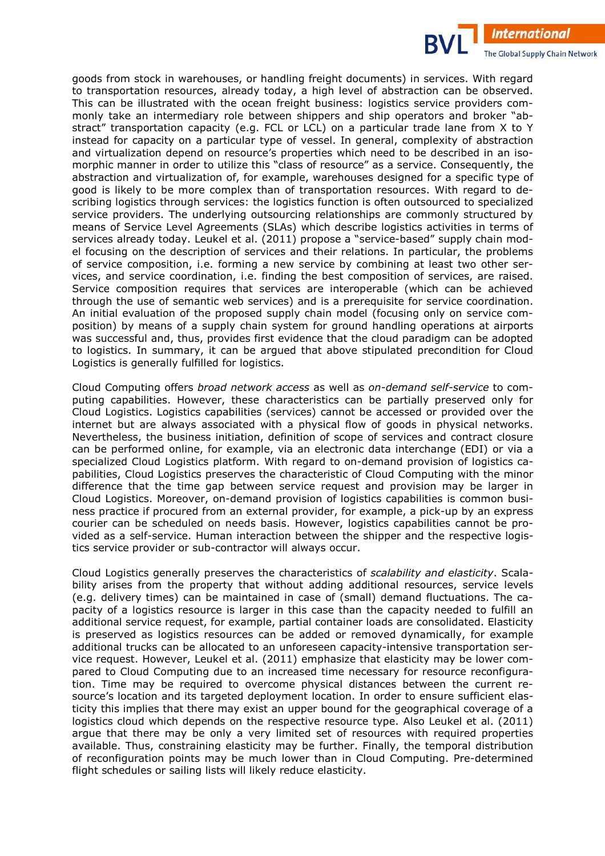goods from stock in warehouses, or handling freight documents) in services. With regard to transportation resources, already today, a high level of abstraction can be observed. This can be illustrated with the ocean freight business: logistics service providers commonly take an intermediary role between shippers and ship operators and broker "abstract" transportation capacity (e.g. FCL or LCL) on a particular trade lane from X to Y instead for capacity on a particular type of vessel. In general, complexity of abstraction and virtualization depend on resource's properties which need to be described in an isomorphic manner in order to utilize this "class of resource" as a service. Consequently, the abstraction and virtualization of, for example, warehouses designed for a specific type of good is likely to be more complex than of transportation resources. With regard to describing logistics through services: the logistics function is often outsourced to specialized service providers. The underlying outsourcing relationships are commonly structured by means of Service Level Agreements (SLAs) which describe logistics activities in terms of services already today. Leukel et al. (2011) propose a "service-based" supply chain model focusing on the description of services and their relations. In particular, the problems of service composition, i.e. forming a new service by combining at least two other services, and service coordination, i.e. finding the best composition of services, are raised. Service composition requires that services are interoperable (which can be achieved through the use of semantic web services) and is a prerequisite for service coordination. An initial evaluation of the proposed supply chain model (focusing only on service composition) by means of a supply chain system for ground handling operations at airports was successful and, thus, provides first evidence that the cloud paradigm can be adopted to logistics. In summary, it can be argued that above stipulated precondition for Cloud Logistics is generally fulfilled for logistics.

**International** 

The Global Supply Chain Network

Cloud Computing offers *broad network access* as well as *on-demand self-service* to computing capabilities. However, these characteristics can be partially preserved only for Cloud Logistics. Logistics capabilities (services) cannot be accessed or provided over the internet but are always associated with a physical flow of goods in physical networks. Nevertheless, the business initiation, definition of scope of services and contract closure can be performed online, for example, via an electronic data interchange (EDI) or via a specialized Cloud Logistics platform. With regard to on-demand provision of logistics capabilities, Cloud Logistics preserves the characteristic of Cloud Computing with the minor difference that the time gap between service request and provision may be larger in Cloud Logistics. Moreover, on-demand provision of logistics capabilities is common business practice if procured from an external provider, for example, a pick-up by an express courier can be scheduled on needs basis. However, logistics capabilities cannot be provided as a self-service. Human interaction between the shipper and the respective logistics service provider or sub-contractor will always occur.

Cloud Logistics generally preserves the characteristics of *scalability and elasticity*. Scala) bility arises from the property that without adding additional resources, service levels (e.g. delivery times) can be maintained in case of (small) demand fluctuations. The capacity of a logistics resource is larger in this case than the capacity needed to fulfill an additional service request, for example, partial container loads are consolidated. Elasticity is preserved as logistics resources can be added or removed dynamically, for example additional trucks can be allocated to an unforeseen capacity-intensive transportation service request. However, Leukel et al. (2011) emphasize that elasticity may be lower compared to Cloud Computing due to an increased time necessary for resource reconfiguration. Time may be required to overcome physical distances between the current resource's location and its targeted deployment location. In order to ensure sufficient elasticity this implies that there may exist an upper bound for the geographical coverage of a logistics cloud which depends on the respective resource type. Also Leukel et al. (2011) argue that there may be only a very limited set of resources with required properties available. Thus, constraining elasticity may be further. Finally, the temporal distribution of reconfiguration points may be much lower than in Cloud Computing. Pre-determined flight schedules or sailing lists will likely reduce elasticity.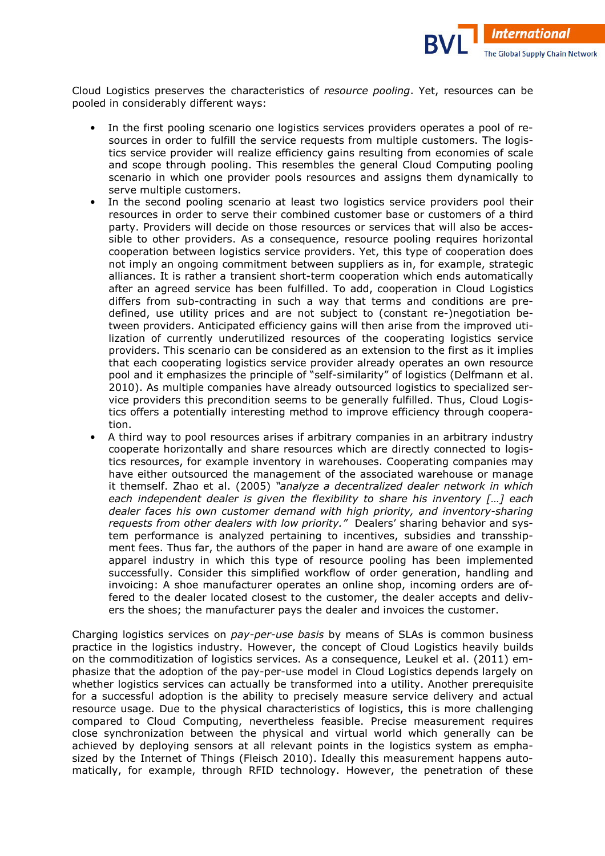

Cloud Logistics preserves the characteristics of *resource pooling*. Yet, resources can be pooled in considerably different ways:

- In the first pooling scenario one logistics services providers operates a pool of resources in order to fulfill the service requests from multiple customers. The logistics service provider will realize efficiency gains resulting from economies of scale and scope through pooling. This resembles the general Cloud Computing pooling scenario in which one provider pools resources and assigns them dynamically to serve multiple customers.
- In the second pooling scenario at least two logistics service providers pool their resources in order to serve their combined customer base or customers of a third party. Providers will decide on those resources or services that will also be accessible to other providers. As a consequence, resource pooling requires horizontal cooperation between logistics service providers. Yet, this type of cooperation does not imply an ongoing commitment between suppliers as in, for example, strategic alliances. It is rather a transient short-term cooperation which ends automatically after an agreed service has been fulfilled. To add, cooperation in Cloud Logistics differs from sub-contracting in such a way that terms and conditions are predefined, use utility prices and are not subject to (constant re-)negotiation between providers. Anticipated efficiency gains will then arise from the improved utilization of currently underutilized resources of the cooperating logistics service providers. This scenario can be considered as an extension to the first as it implies that each cooperating logistics service provider already operates an own resource pool and it emphasizes the principle of "self-similarity" of logistics (Delfmann et al. 2010). As multiple companies have already outsourced logistics to specialized service providers this precondition seems to be generally fulfilled. Thus, Cloud Logistics offers a potentially interesting method to improve efficiency through cooperation.
- A third way to pool resources arises if arbitrary companies in an arbitrary industry cooperate horizontally and share resources which are directly connected to logistics resources, for example inventory in warehouses. Cooperating companies may have either outsourced the management of the associated warehouse or manage it themself. Zhao et al. (2005) *"analyze a decentralized dealer network in which each independent dealer is given the flexibility to share his inventory […] each dealer faces his own customer demand with high priority, and inventory\*sharing*  requests from other dealers with low priority." Dealers' sharing behavior and system performance is analyzed pertaining to incentives, subsidies and transshipment fees. Thus far, the authors of the paper in hand are aware of one example in apparel industry in which this type of resource pooling has been implemented successfully. Consider this simplified workflow of order generation, handling and invoicing: A shoe manufacturer operates an online shop, incoming orders are offered to the dealer located closest to the customer, the dealer accepts and delivers the shoes; the manufacturer pays the dealer and invoices the customer.

Charging logistics services on *pay-per-use basis* by means of SLAs is common business practice in the logistics industry. However, the concept of Cloud Logistics heavily builds on the commoditization of logistics services. As a consequence, Leukel et al.  $(2011)$  emphasize that the adoption of the pay-per-use model in Cloud Logistics depends largely on whether logistics services can actually be transformed into a utility. Another prerequisite for a successful adoption is the ability to precisely measure service delivery and actual resource usage. Due to the physical characteristics of logistics, this is more challenging compared to Cloud Computing, nevertheless feasible. Precise measurement requires close synchronization between the physical and virtual world which generally can be achieved by deploying sensors at all relevant points in the logistics system as emphasized by the Internet of Things (Fleisch 2010). Ideally this measurement happens automatically, for example, through RFID technology. However, the penetration of these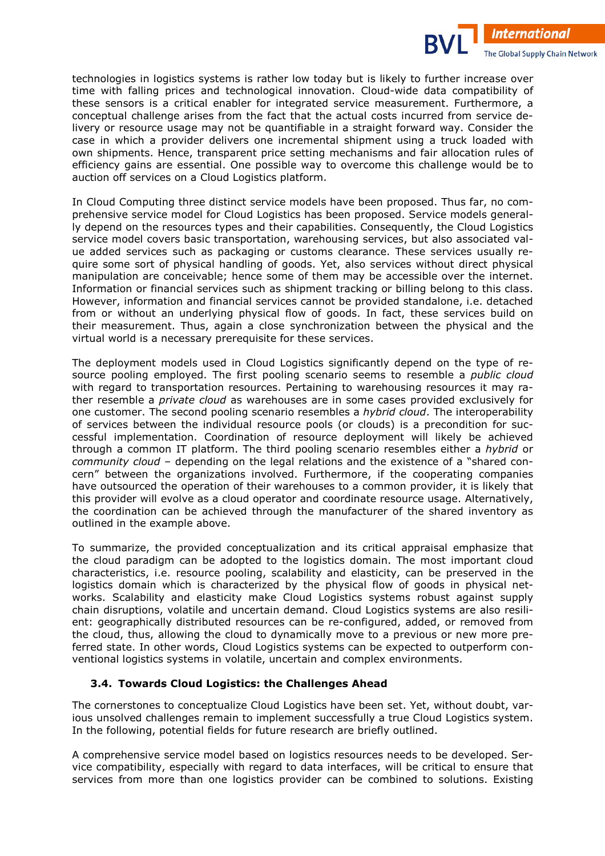technologies in logistics systems is rather low today but is likely to further increase over time with falling prices and technological innovation. Cloud-wide data compatibility of these sensors is a critical enabler for integrated service measurement. Furthermore, a conceptual challenge arises from the fact that the actual costs incurred from service delivery or resource usage may not be quantifiable in a straight forward way. Consider the case in which a provider delivers one incremental shipment using a truck loaded with own shipments. Hence, transparent price setting mechanisms and fair allocation rules of efficiency gains are essential. One possible way to overcome this challenge would be to auction off services on a Cloud Logistics platform.

**International** 

The Global Supply Chain Network

In Cloud Computing three distinct service models have been proposed. Thus far, no comprehensive service model for Cloud Logistics has been proposed. Service models general) ly depend on the resources types and their capabilities. Consequently, the Cloud Logistics service model covers basic transportation, warehousing services, but also associated value added services such as packaging or customs clearance. These services usually require some sort of physical handling of goods. Yet, also services without direct physical manipulation are conceivable; hence some of them may be accessible over the internet. Information or financial services such as shipment tracking or billing belong to this class. However, information and financial services cannot be provided standalone, i.e. detached from or without an underlying physical flow of goods. In fact, these services build on their measurement. Thus, again a close synchronization between the physical and the virtual world is a necessary prerequisite for these services.

The deployment models used in Cloud Logistics significantly depend on the type of resource pooling employed. The first pooling scenario seems to resemble a *public cloud*  with regard to transportation resources. Pertaining to warehousing resources it may rather resemble a *private cloud* as warehouses are in some cases provided exclusively for one customer. The second pooling scenario resembles a *hybrid cloud*. The interoperability of services between the individual resource pools (or clouds) is a precondition for suc) cessful implementation. Coordination of resource deployment will likely be achieved through a common IT platform. The third pooling scenario resembles either a *hybrid* or *community cloud –* depending on the legal relations and the existence of a "shared concern" between the organizations involved. Furthermore, if the cooperating companies have outsourced the operation of their warehouses to a common provider, it is likely that this provider will evolve as a cloud operator and coordinate resource usage. Alternatively, the coordination can be achieved through the manufacturer of the shared inventory as outlined in the example above.

To summarize, the provided conceptualization and its critical appraisal emphasize that the cloud paradigm can be adopted to the logistics domain. The most important cloud characteristics, i.e. resource pooling, scalability and elasticity, can be preserved in the logistics domain which is characterized by the physical flow of goods in physical networks. Scalability and elasticity make Cloud Logistics systems robust against supply chain disruptions, volatile and uncertain demand. Cloud Logistics systems are also resilient: geographically distributed resources can be re-configured, added, or removed from the cloud, thus, allowing the cloud to dynamically move to a previous or new more preferred state. In other words, Cloud Logistics systems can be expected to outperform conventional logistics systems in volatile, uncertain and complex environments.

### **3.4. Towards Cloud Logistics: the Challenges Ahead**

The cornerstones to conceptualize Cloud Logistics have been set. Yet, without doubt, various unsolved challenges remain to implement successfully a true Cloud Logistics system. In the following, potential fields for future research are briefly outlined.

A comprehensive service model based on logistics resources needs to be developed. Service compatibility, especially with regard to data interfaces, will be critical to ensure that services from more than one logistics provider can be combined to solutions. Existing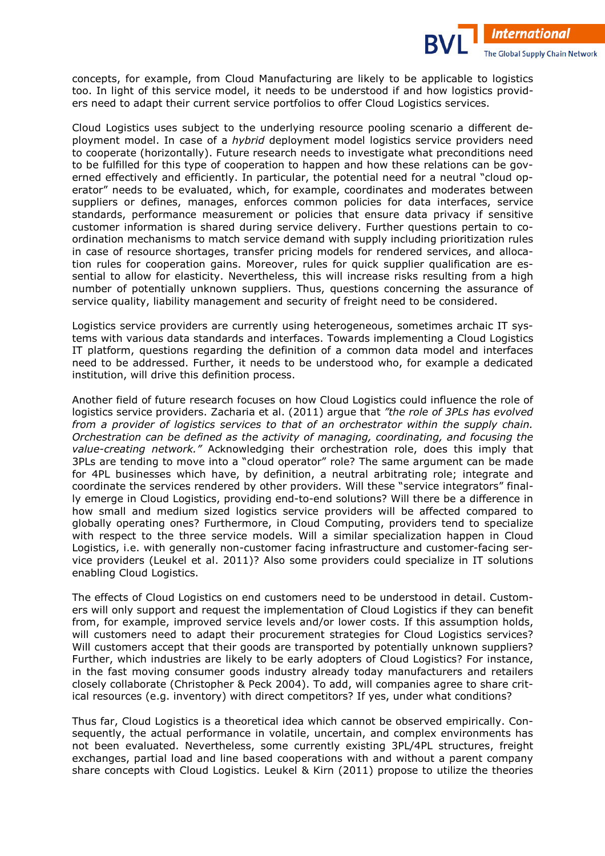concepts, for example, from Cloud Manufacturing are likely to be applicable to logistics too. In light of this service model, it needs to be understood if and how logistics providers need to adapt their current service portfolios to offer Cloud Logistics services.

**International** 

The Global Supply Chain Network

Cloud Logistics uses subject to the underlying resource pooling scenario a different de) ployment model. In case of a *hybrid* deployment model logistics service providers need to cooperate (horizontally). Future research needs to investigate what preconditions need to be fulfilled for this type of cooperation to happen and how these relations can be governed effectively and efficiently. In particular, the potential need for a neutral "cloud operator" needs to be evaluated, which, for example, coordinates and moderates between suppliers or defines, manages, enforces common policies for data interfaces, service standards, performance measurement or policies that ensure data privacy if sensitive customer information is shared during service delivery. Further questions pertain to coordination mechanisms to match service demand with supply including prioritization rules in case of resource shortages, transfer pricing models for rendered services, and allocation rules for cooperation gains. Moreover, rules for quick supplier qualification are essential to allow for elasticity. Nevertheless, this will increase risks resulting from a high number of potentially unknown suppliers. Thus, questions concerning the assurance of service quality, liability management and security of freight need to be considered.

Logistics service providers are currently using heterogeneous, sometimes archaic IT systems with various data standards and interfaces. Towards implementing a Cloud Logistics IT platform, questions regarding the definition of a common data model and interfaces need to be addressed. Further, it needs to be understood who, for example a dedicated institution, will drive this definition process.

Another field of future research focuses on how Cloud Logistics could influence the role of logistics service providers. Zacharia et al. (2011) argue that *"the role of 3PLs has evolved from a provider of logistics services to that of an orchestrator within the supply chain. Orchestration can be defined as the activity of managing, coordinating, and focusing the value-creating network."* Acknowledging their orchestration role, does this imply that 3PLs are tending to move into a "cloud operator" role? The same argument can be made for 4PL businesses which have, by definition, a neutral arbitrating role; integrate and coordinate the services rendered by other providers. Will these "service integrators" final) ly emerge in Cloud Logistics, providing end-to-end solutions? Will there be a difference in how small and medium sized logistics service providers will be affected compared to globally operating ones? Furthermore, in Cloud Computing, providers tend to specialize with respect to the three service models. Will a similar specialization happen in Cloud Logistics, i.e. with generally non-customer facing infrastructure and customer-facing service providers (Leukel et al. 2011)? Also some providers could specialize in IT solutions enabling Cloud Logistics.

The effects of Cloud Logistics on end customers need to be understood in detail. Custom) ers will only support and request the implementation of Cloud Logistics if they can benefit from, for example, improved service levels and/or lower costs. If this assumption holds, will customers need to adapt their procurement strategies for Cloud Logistics services? Will customers accept that their goods are transported by potentially unknown suppliers? Further, which industries are likely to be early adopters of Cloud Logistics? For instance, in the fast moving consumer goods industry already today manufacturers and retailers closely collaborate (Christopher & Peck 2004). To add, will companies agree to share crit) ical resources (e.g. inventory) with direct competitors? If yes, under what conditions?

Thus far, Cloud Logistics is a theoretical idea which cannot be observed empirically. Con) sequently, the actual performance in volatile, uncertain, and complex environments has not been evaluated. Nevertheless, some currently existing 3PL/4PL structures, freight exchanges, partial load and line based cooperations with and without a parent company share concepts with Cloud Logistics. Leukel & Kirn (2011) propose to utilize the theories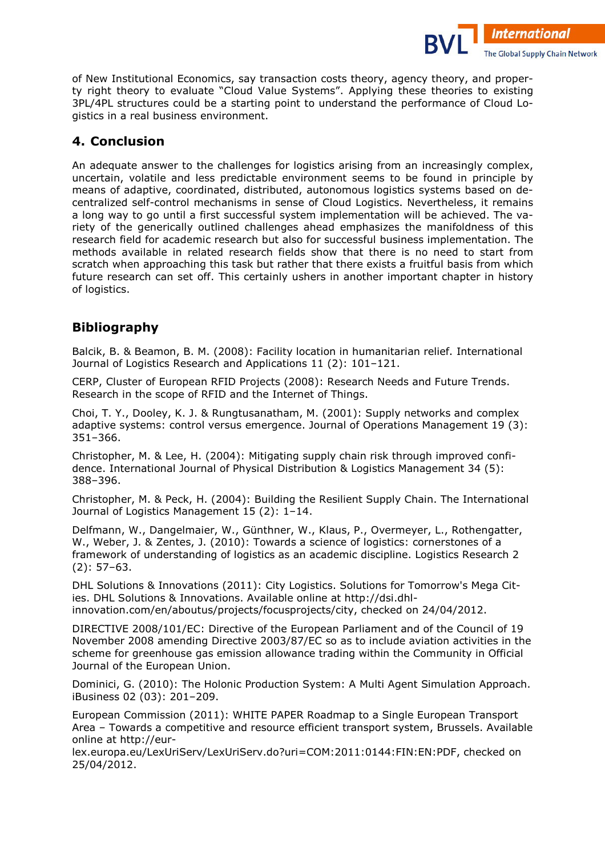of New Institutional Economics, say transaction costs theory, agency theory, and property right theory to evaluate "Cloud Value Systems". Applying these theories to existing 3PL/4PL structures could be a starting point to understand the performance of Cloud Logistics in a real business environment.

**International** 

The Global Supply Chain Network

## **4. Conclusion**

An adequate answer to the challenges for logistics arising from an increasingly complex, uncertain, volatile and less predictable environment seems to be found in principle by means of adaptive, coordinated, distributed, autonomous logistics systems based on decentralized self-control mechanisms in sense of Cloud Logistics. Nevertheless, it remains a long way to go until a first successful system implementation will be achieved. The variety of the generically outlined challenges ahead emphasizes the manifoldness of this research field for academic research but also for successful business implementation. The methods available in related research fields show that there is no need to start from scratch when approaching this task but rather that there exists a fruitful basis from which future research can set off. This certainly ushers in another important chapter in history of logistics.

## **Bibliography**

Balcik, B. & Beamon, B. M. (2008): Facility location in humanitarian relief. International Journal of Logistics Research and Applications 11 (2): 101–121.

CERP, Cluster of European RFID Projects (2008): Research Needs and Future Trends. Research in the scope of RFID and the Internet of Things.

Choi, T. Y., Dooley, K. J. & Rungtusanatham, M. (2001): Supply networks and complex adaptive systems: control versus emergence. Journal of Operations Management 19 (3): 351–366.

Christopher, M. & Lee, H. (2004): Mitigating supply chain risk through improved confi) dence. International Journal of Physical Distribution & Logistics Management 34 (5): 388–396.

Christopher, M. & Peck, H. (2004): Building the Resilient Supply Chain. The International Journal of Logistics Management 15 (2): 1–14.

Delfmann, W., Dangelmaier, W., Günthner, W., Klaus, P., Overmeyer, L., Rothengatter, W., Weber, J. & Zentes, J. (2010): Towards a science of logistics: cornerstones of a framework of understanding of logistics as an academic discipline. Logistics Research 2 (2): 57–63.

DHL Solutions & Innovations (2011): City Logistics. Solutions for Tomorrow's Mega Cities. DHL Solutions & Innovations. Available online at http://dsi.dhlinnovation.com/en/aboutus/projects/focusprojects/city, checked on 24/04/2012.

DIRECTIVE 2008/101/EC: Directive of the European Parliament and of the Council of 19 November 2008 amending Directive 2003/87/EC so as to include aviation activities in the scheme for greenhouse gas emission allowance trading within the Community in Official Journal of the European Union.

Dominici, G. (2010): The Holonic Production System: A Multi Agent Simulation Approach. iBusiness 02 (03): 201–209.

European Commission (2011): WHITE PAPER Roadmap to a Single European Transport Area – Towards a competitive and resource efficient transport system, Brussels. Available online at http://eur-

lex.europa.eu/LexUriServ/LexUriServ.do?uri=COM:2011:0144:FIN:EN:PDF, checked on 25/04/2012.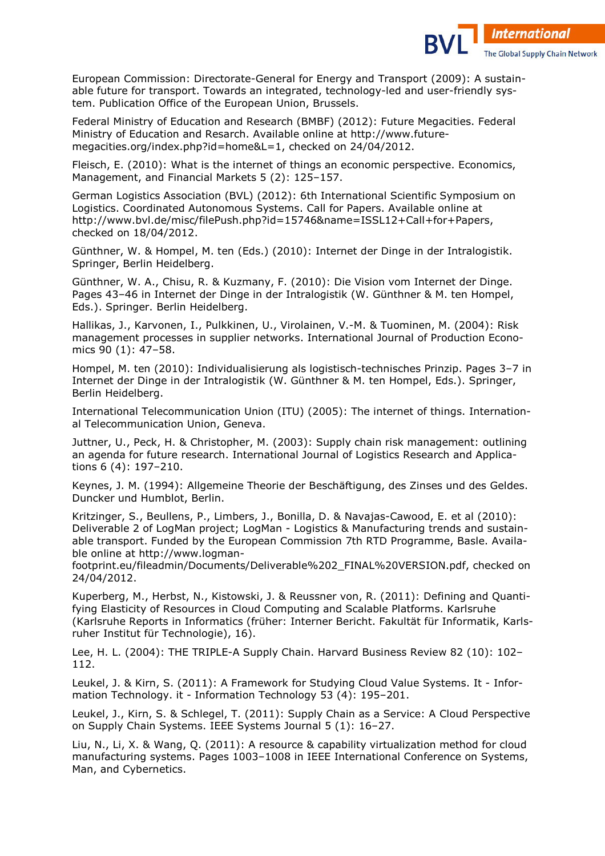

European Commission: Directorate-General for Energy and Transport (2009): A sustainable future for transport. Towards an integrated, technology-led and user-friendly system. Publication Office of the European Union, Brussels.

Federal Ministry of Education and Research (BMBF) (2012): Future Megacities. Federal Ministry of Education and Resarch. Available online at http://www.future) megacities.org/index.php?id=home&L=1, checked on 24/04/2012.

Fleisch, E. (2010): What is the internet of things an economic perspective. Economics, Management, and Financial Markets 5 (2): 125–157.

German Logistics Association (BVL) (2012): 6th International Scientific Symposium on Logistics. Coordinated Autonomous Systems. Call for Papers. Available online at http://www.bvl.de/misc/filePush.php?id=15746&name=ISSL12+Call+for+Papers, checked on 18/04/2012.

Günthner, W. & Hompel, M. ten (Eds.) (2010): Internet der Dinge in der Intralogistik. Springer, Berlin Heidelberg.

Günthner, W. A., Chisu, R. & Kuzmany, F. (2010): Die Vision vom Internet der Dinge. Pages 43–46 in Internet der Dinge in der Intralogistik (W. Günthner & M. ten Hompel, Eds.). Springer. Berlin Heidelberg.

Hallikas, J., Karvonen, I., Pulkkinen, U., Virolainen, V.-M. & Tuominen, M. (2004): Risk management processes in supplier networks. International Journal of Production Econo) mics 90 (1): 47–58.

Hompel, M. ten (2010): Individualisierung als logistisch-technisches Prinzip. Pages 3–7 in Internet der Dinge in der Intralogistik (W. Günthner & M. ten Hompel, Eds.). Springer, Berlin Heidelberg.

International Telecommunication Union (ITU) (2005): The internet of things. Internation) al Telecommunication Union, Geneva.

Juttner, U., Peck, H. & Christopher, M. (2003): Supply chain risk management: outlining an agenda for future research. International Journal of Logistics Research and Applications 6 (4): 197–210.

Keynes, J. M. (1994): Allgemeine Theorie der Beschäftigung, des Zinses und des Geldes. Duncker und Humblot, Berlin.

Kritzinger, S., Beullens, P., Limbers, J., Bonilla, D. & Navaias-Cawood, E. et al (2010): Deliverable 2 of LogMan project; LogMan - Logistics & Manufacturing trends and sustainable transport. Funded by the European Commission 7th RTD Programme, Basle. Available online at http://www.logman-

footprint.eu/fileadmin/Documents/Deliverable%202\_FINAL%20VERSION.pdf, checked on 24/04/2012.

Kuperberg, M., Herbst, N., Kistowski, J. & Reussner von, R. (2011): Defining and Quanti) fying Elasticity of Resources in Cloud Computing and Scalable Platforms. Karlsruhe (Karlsruhe Reports in Informatics (früher: Interner Bericht. Fakultät für Informatik, Karls) ruher Institut für Technologie), 16).

Lee, H. L. (2004): THE TRIPLE-A Supply Chain. Harvard Business Review 82 (10): 102-112.

Leukel, J. & Kirn, S. (2011): A Framework for Studying Cloud Value Systems. It - Information Technology. it - Information Technology 53 (4): 195–201.

Leukel, J., Kirn, S. & Schlegel, T. (2011): Supply Chain as a Service: A Cloud Perspective on Supply Chain Systems. IEEE Systems Journal 5 (1): 16–27.

Liu, N., Li, X. & Wang, Q. (2011): A resource & capability virtualization method for cloud manufacturing systems. Pages 1003–1008 in IEEE International Conference on Systems, Man, and Cybernetics.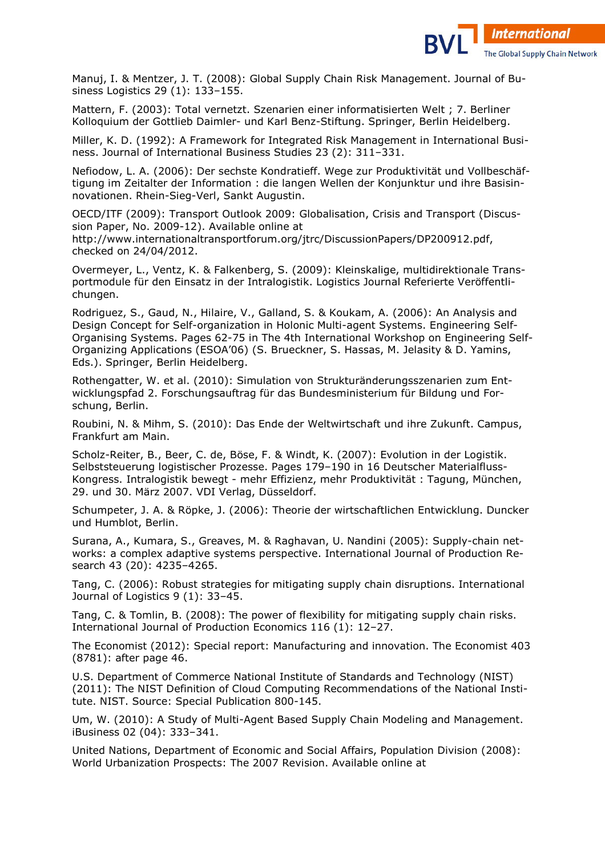

Manuj, I. & Mentzer, J. T. (2008): Global Supply Chain Risk Management. Journal of Business Logistics 29 (1): 133–155.

Mattern, F. (2003): Total vernetzt. Szenarien einer informatisierten Welt ; 7. Berliner Kolloquium der Gottlieb Daimler- und Karl Benz-Stiftung. Springer, Berlin Heidelberg.

Miller, K. D. (1992): A Framework for Integrated Risk Management in International Busi) ness. Journal of International Business Studies 23 (2): 311–331.

Nefiodow, L. A. (2006): Der sechste Kondratieff. Wege zur Produktivität und Vollbeschäftigung im Zeitalter der Information : die langen Wellen der Konjunktur und ihre Basisinnovationen. Rhein-Sieg-Verl, Sankt Augustin.

OECD/ITF (2009): Transport Outlook 2009: Globalisation, Crisis and Transport (Discus) sion Paper, No. 2009-12). Available online at http://www.internationaltransportforum.org/jtrc/DiscussionPapers/DP200912.pdf, checked on 24/04/2012.

Overmeyer, L., Ventz, K. & Falkenberg, S. (2009): Kleinskalige, multidirektionale Trans) portmodule für den Einsatz in der Intralogistik. Logistics Journal Referierte Veröffentlichungen.

Rodriguez, S., Gaud, N., Hilaire, V., Galland, S. & Koukam, A. (2006): An Analysis and Design Concept for Self-organization in Holonic Multi-agent Systems. Engineering Self-Organising Systems. Pages 62-75 in The 4th International Workshop on Engineering Self-Organizing Applications (ESOA'06) (S. Brueckner, S. Hassas, M. Jelasity & D. Yamins, Eds.). Springer, Berlin Heidelberg.

Rothengatter, W. et al. (2010): Simulation von Strukturänderungsszenarien zum Ent) wicklungspfad 2. Forschungsauftrag für das Bundesministerium für Bildung und For) schung, Berlin.

Roubini, N. & Mihm, S. (2010): Das Ende der Weltwirtschaft und ihre Zukunft. Campus, Frankfurt am Main.

Scholz-Reiter, B., Beer, C. de, Böse, F. & Windt, K. (2007): Evolution in der Logistik. Selbststeuerung logistischer Prozesse. Pages 179–190 in 16 Deutscher Materialfluss) Kongress. Intralogistik bewegt - mehr Effizienz, mehr Produktivität : Tagung, München, 29. und 30. März 2007. VDI Verlag, Düsseldorf.

Schumpeter, J. A. & Röpke, J. (2006): Theorie der wirtschaftlichen Entwicklung. Duncker und Humblot, Berlin.

Surana, A., Kumara, S., Greaves, M. & Raghavan, U. Nandini (2005): Supply-chain networks: a complex adaptive systems perspective. International Journal of Production Research 43 (20): 4235–4265.

Tang, C. (2006): Robust strategies for mitigating supply chain disruptions. International Journal of Logistics 9 (1): 33–45.

Tang, C. & Tomlin, B. (2008): The power of flexibility for mitigating supply chain risks. International Journal of Production Economics 116 (1): 12–27.

The Economist (2012): Special report: Manufacturing and innovation. The Economist 403 (8781): after page 46.

U.S. Department of Commerce National Institute of Standards and Technology (NIST) (2011): The NIST Definition of Cloud Computing Recommendations of the National Institute. NIST. Source: Special Publication 800-145.

Um, W. (2010): A Study of Multi-Agent Based Supply Chain Modeling and Management. iBusiness 02 (04): 333–341.

United Nations, Department of Economic and Social Affairs, Population Division (2008): World Urbanization Prospects: The 2007 Revision. Available online at